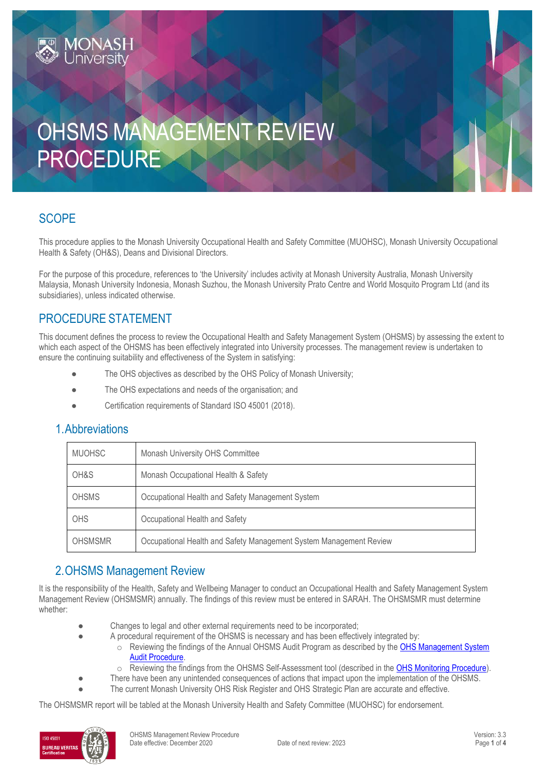# OHSMS MANAGEMENT REVIEW PROCEDURE

#### **SCOPE**

This procedure applies to the Monash University Occupational Health and Safety Committee (MUOHSC), Monash University Occupational Health & Safety (OH&S), Deans and Divisional Directors.

For the purpose of this procedure, references to 'the University' includes activity at Monash University Australia, Monash University Malaysia, Monash University Indonesia, Monash Suzhou, the Monash University Prato Centre and World Mosquito Program Ltd (and its subsidiaries), unless indicated otherwise.

#### PROCEDURE STATEMENT

This document defines the process to review the Occupational Health and Safety Management System (OHSMS) by assessing the extent to which each aspect of the OHSMS has been effectively integrated into University processes. The management review is undertaken to ensure the continuing suitability and effectiveness of the System in satisfying:

- The OHS objectives as described by the OHS Policy of Monash University;
- The OHS expectations and needs of the organisation; and
- Certification requirements of Standard ISO 45001 (2018).

#### 1.Abbreviations

| <b>MUOHSC</b>  | Monash University OHS Committee                                    |  |
|----------------|--------------------------------------------------------------------|--|
| OH&S           | Monash Occupational Health & Safety                                |  |
| <b>OHSMS</b>   | Occupational Health and Safety Management System                   |  |
| OHS            | Occupational Health and Safety                                     |  |
| <b>OHSMSMR</b> | Occupational Health and Safety Management System Management Review |  |

#### 2.OHSMS Management Review

It is the responsibility of the Health, Safety and Wellbeing Manager to conduct an Occupational Health and Safety Management System Management Review (OHSMSMR) annually. The findings of this review must be entered in SARAH. The OHSMSMR must determine whether:

- Changes to legal and other external requirements need to be incorporated;
	- A procedural requirement of the OHSMS is necessary and has been effectively integrated by:
		- o Reviewing the findings of the Annual OHSMS Audit Program as described by the [OHS Management System](https://publicpolicydms.monash.edu/Monash/documents/1935631)  [Audit Procedure.](https://publicpolicydms.monash.edu/Monash/documents/1935631)
		- o Reviewing the findings from the OHSMS Self-Assessment tool (described in the [OHS Monitoring Procedure\)](https://publicpolicydms.monash.edu/Monash/documents/1935632).
- There have been any unintended consequences of actions that impact upon the implementation of the OHSMS.
- The current Monash University OHS Risk Register and OHS Strategic Plan are accurate and effective.

The OHSMSMR report will be tabled at the Monash University Health and Safety Committee (MUOHSC) for endorsement.

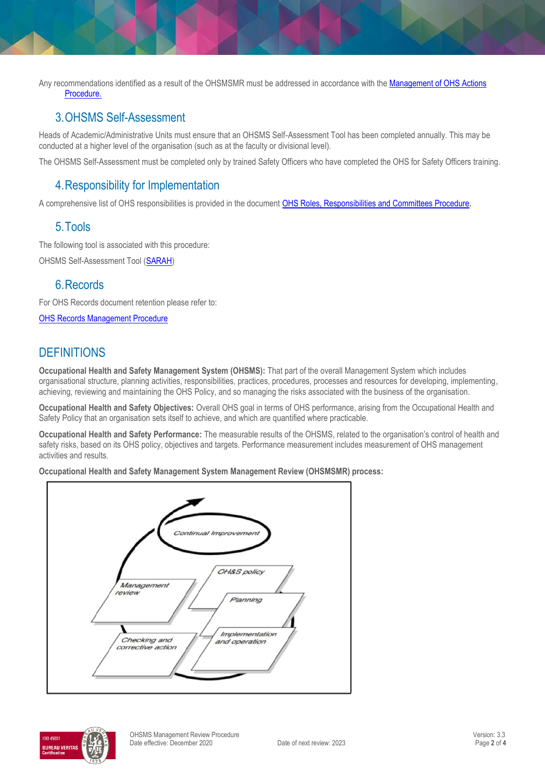Any recommendations identified as a result of the OHSMSMR must be addressed in accordance with the **Management of OHS Actions** [Procedure.](https://publicpolicydms.monash.edu/Monash/documents/1935618)

#### 3.OHSMS Self-Assessment

Heads of Academic/Administrative Units must ensure that an OHSMS Self-Assessment Tool has been completed annually. This may be conducted at a higher level of the organisation (such as at the faculty or divisional level).

The OHSMS Self-Assessment must be completed only by trained Safety Officers who have completed the OHS for Safety Officers training.

#### 4.Responsibility for Implementation

A comprehensive list of OHS responsibilities is provided in the document [OHS Roles, Responsibilities and Committees Procedure.](https://publicpolicydms.monash.edu/Monash/documents/1935644)

#### 5.Tools

The following tool is associated with this procedure:

OHSMS Self-Assessment Tool [\(SARAH\)](https://prod.riskcloud.net/?ccode=monash)

#### 6.Records

For OHS Records document retention please refer to:

[OHS Records Management Procedure](https://publicpolicydms.monash.edu/Monash/documents/1935642)

## **DEFINITIONS**

**Occupational Health and Safety Management System (OHSMS):** That part of the overall Management System which includes organisational structure, planning activities, responsibilities, practices, procedures, processes and resources for developing, implementing, achieving, reviewing and maintaining the OHS Policy, and so managing the risks associated with the business of the organisation.

**Occupational Health and Safety Objectives:** Overall OHS goal in terms of OHS performance, arising from the Occupational Health and Safety Policy that an organisation sets itself to achieve, and which are quantified where practicable.

**Occupational Health and Safety Performance:** The measurable results of the OHSMS, related to the organisation's control of health and safety risks, based on its OHS policy, objectives and targets. Performance measurement includes measurement of OHS management activities and results.

**Occupational Health and Safety Management System Management Review (OHSMSMR) process:**



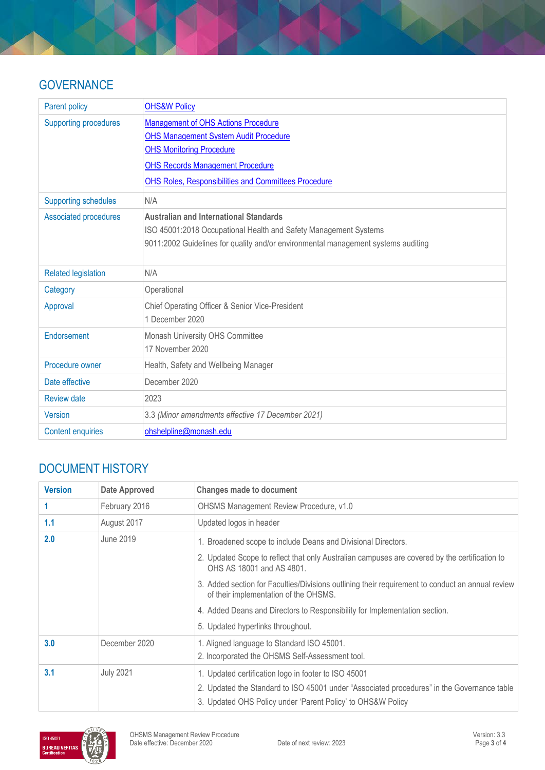### **GOVERNANCE**

| <b>Parent policy</b>         | <b>OHS&amp;W Policy</b>                                                           |
|------------------------------|-----------------------------------------------------------------------------------|
| <b>Supporting procedures</b> | Management of OHS Actions Procedure                                               |
|                              | <b>OHS Management System Audit Procedure</b>                                      |
|                              | <b>OHS Monitoring Procedure</b>                                                   |
|                              | <b>OHS Records Management Procedure</b>                                           |
|                              | <b>OHS Roles, Responsibilities and Committees Procedure</b>                       |
| <b>Supporting schedules</b>  | N/A                                                                               |
| <b>Associated procedures</b> | <b>Australian and International Standards</b>                                     |
|                              | ISO 45001:2018 Occupational Health and Safety Management Systems                  |
|                              | 9011:2002 Guidelines for quality and/or environmental management systems auditing |
|                              |                                                                                   |
| <b>Related legislation</b>   | N/A                                                                               |
| Category                     | Operational                                                                       |
| Approval                     | Chief Operating Officer & Senior Vice-President                                   |
|                              | 1 December 2020                                                                   |
| Endorsement                  | Monash University OHS Committee                                                   |
|                              | 17 November 2020                                                                  |
| Procedure owner              | Health, Safety and Wellbeing Manager                                              |
| Date effective               | December 2020                                                                     |
| <b>Review date</b>           | 2023                                                                              |
| <b>Version</b>               | 3.3 (Minor amendments effective 17 December 2021)                                 |
| <b>Content enquiries</b>     | ohshelpline@monash.edu                                                            |

# DOCUMENT HISTORY

| <b>Version</b> | <b>Date Approved</b> | <b>Changes made to document</b>                                                                                                           |
|----------------|----------------------|-------------------------------------------------------------------------------------------------------------------------------------------|
|                | February 2016        | OHSMS Management Review Procedure, v1.0                                                                                                   |
| 1.1            | August 2017          | Updated logos in header                                                                                                                   |
| 2.0            | June 2019            | 1. Broadened scope to include Deans and Divisional Directors.                                                                             |
|                |                      | 2. Updated Scope to reflect that only Australian campuses are covered by the certification to<br>OHS AS 18001 and AS 4801.                |
|                |                      | 3. Added section for Faculties/Divisions outlining their requirement to conduct an annual review<br>of their implementation of the OHSMS. |
|                |                      | 4. Added Deans and Directors to Responsibility for Implementation section.                                                                |
|                |                      | 5. Updated hyperlinks throughout.                                                                                                         |
| 3.0            | December 2020        | 1. Aligned language to Standard ISO 45001.                                                                                                |
|                |                      | 2. Incorporated the OHSMS Self-Assessment tool.                                                                                           |
| 3.1            | <b>July 2021</b>     | 1. Updated certification logo in footer to ISO 45001                                                                                      |
|                |                      | 2. Updated the Standard to ISO 45001 under "Associated procedures" in the Governance table                                                |
|                |                      | 3. Updated OHS Policy under 'Parent Policy' to OHS&W Policy                                                                               |